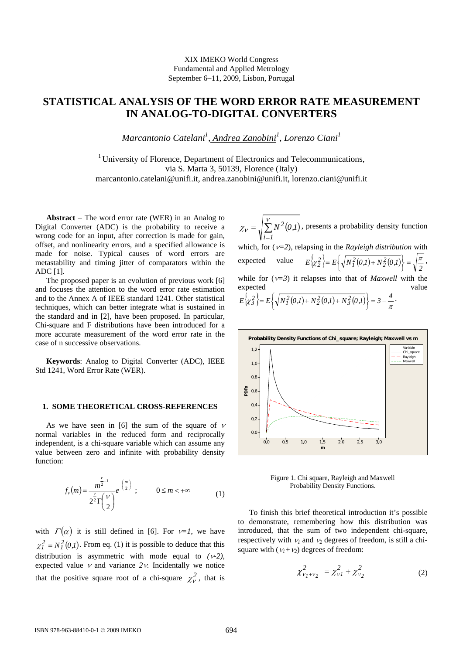## XIX IMEKO World Congress Fundamental and Applied Metrology September 6−11, 2009, Lisbon, Portugal

# **STATISTICAL ANALYSIS OF THE WORD ERROR RATE MEASUREMENT IN ANALOG-TO-DIGITAL CONVERTERS**

*Marcantonio Catelani1 , Andrea Zanobini1 , Lorenzo Ciani1*

<sup>1</sup> University of Florence, Department of Electronics and Telecommunications, via S. Marta 3, 50139, Florence (Italy) marcantonio.catelani@unifi.it, andrea.zanobini@unifi.it, lorenzo.ciani@unifi.it

**Abstract** − The word error rate (WER) in an Analog to Digital Converter (ADC) is the probability to receive a wrong code for an input, after correction is made for gain, offset, and nonlinearity errors, and a specified allowance is made for noise. Typical causes of word errors are metastability and timing jitter of comparators within the ADC [1].

The proposed paper is an evolution of previous work [6] and focuses the attention to the word error rate estimation and to the Annex A of IEEE standard 1241. Other statistical techniques, which can better integrate what is sustained in the standard and in [2], have been proposed. In particular, Chi-square and F distributions have been introduced for a more accurate measurement of the word error rate in the case of n successive observations.

**Keywords**: Analog to Digital Converter (ADC), IEEE Std 1241, Word Error Rate (WER).

#### **1. SOME THEORETICAL CROSS-REFERENCES**

As we have seen in [6] the sum of the square of  $\nu$ normal variables in the reduced form and reciprocally independent, is a chi-square variable which can assume any value between zero and infinite with probability density function:

$$
f_{\nu}(m) = \frac{m^{\frac{\nu}{2}-1}}{2^{\frac{\nu}{2}}\Gamma(\frac{\nu}{2})}e^{-\left(\frac{m}{2}\right)}; \qquad 0 \leq m < +\infty
$$
 (1)

with  $\Gamma(\alpha)$  it is still defined in [6]. For  $\nu=1$ , we have  $\chi_l^2 = N_l^2(0, l)$ . From eq. (1) it is possible to deduce that this distribution is asymmetric with mode equal to  $(\nu-2)$ , expected value  $\nu$  and variance  $2\nu$ . Incidentally we notice that the positive square root of a chi-square  $\chi^2$ , that is

 $\sum N^2(0,I)$ =  $=\sqrt{\frac{v}{\Sigma}}$ χ<sup>ν</sup> *1i*  $N^2(0,1)$ , presents a probability density function which, for (ν*=2*), relapsing in the *Rayleigh distribution* with expected value  $E\left\{\chi_2^2\right\} = E\left\{\sqrt{N_1^2(0,1) + N_2^2(0,1)}\right\} = \sqrt{\frac{\pi}{2}}$  $= E\left\{\sqrt{N_I^2(0,I) + N_2^2(0,I)}\right\} = \sqrt{\frac{\pi}{2}},$ while for  $(\nu=3)$  it relapses into that of *Maxwell* with the expected value  $E\left\{\sqrt{N_I^2(0,I) + N_2^2(0,I) + N_3^2(0,I)}\right\} = 3 - \frac{4}{\pi}$  $= E\left\{\sqrt{N_I^2(0,I) + N_2^2(0,I) + N_3^2(0,I)}\right\} = 3 - \frac{4}{\pi}.$ 



Figure 1. Chi square, Rayleigh and Maxwell Probability Density Functions.

To finish this brief theoretical introduction it's possible to demonstrate, remembering how this distribution was introduced, that the sum of two independent chi-square, respectively with  $v_1$  and  $v_2$  degrees of freedom, is still a chisquare with  $(v_1 + v_2)$  degrees of freedom:

$$
\chi^2_{\nu_1+\nu_2} = \chi^2_{\nu_1} + \chi^2_{\nu_2}
$$
 (2)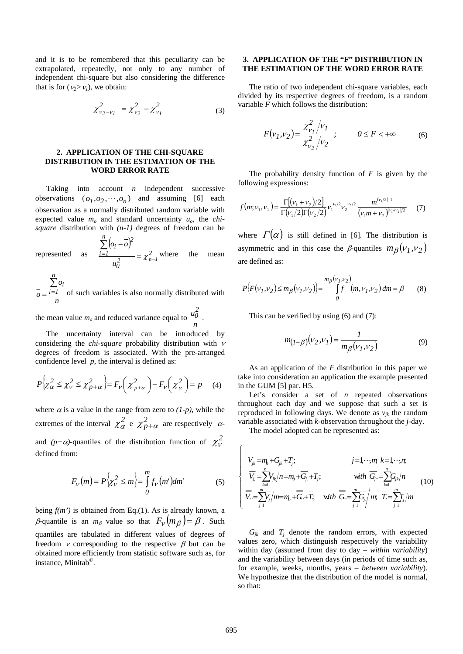and it is to be remembered that this peculiarity can be extrapolated, repeatedly, not only to any number of independent chi-square but also considering the difference that is for  $(\nu_2 > \nu_1)$ , we obtain:

$$
\chi^2_{\nu_2-\nu_1} = \chi^2_{\nu_2} - \chi^2_{\nu_1}
$$
 (3)

### **2. APPLICATION OF THE CHI-SQUARE DISTRIBUTION IN THE ESTIMATION OF THE WORD ERROR RATE**

Taking into account *n* independent successive observations  $(o_1, o_2, \dots, o_n)$  and assuming [6] each observation as a normally distributed random variable with expected value  $m<sub>o</sub>$  and standard uncertainty  $u<sub>o</sub>$ , the *chisquare* distribution with *(n-1)* degrees of freedom can be

represented as  $(o_i - o)$ *2 2 0 n 1i 2 i*  $u_0^2$   $-\lambda_{n-1}$  $o_i$  –  $o$  $=\chi_{n-}^2$  $\sum (o_i \frac{1}{2} = \chi^2_{n-1}$  where the mean

*n o o n 1i* ∑ *<sup>i</sup>*  $=\frac{i=1}{i}$  of such variables is also normally distributed with

the mean value  $m<sub>o</sub>$  and reduced variance equal to *n*  $\frac{u_0^2}{2}$ .

The uncertainty interval can be introduced by considering the *chi-square* probability distribution with <sup>ν</sup> degrees of freedom is associated. With the pre-arranged confidence level  $p$ , the interval is defined as:

$$
P\left\{\chi_{\alpha}^{2} \leq \chi_{\nu}^{2} \leq \chi_{p+\alpha}^{2}\right\} = F_{\nu}\left(\chi_{p+\alpha}^{2}\right) - F_{\nu}\left(\chi_{\alpha}^{2}\right) = p \quad (4)
$$

where  $\alpha$  is a value in the range from zero to  $(1-p)$ , while the extremes of the interval  $\chi^2_{\alpha}$  e  $\chi^2_{p+\alpha}$  are respectively  $\alpha$ and  $(p+\alpha)$ -quantiles of the distribution function of  $\chi^2$ defined from:

$$
F_V(m) = P\left\{\chi^2_V \le m\right\} = \int_0^m f_V(m')dm' \tag{5}
$$

being  $f(m')$  is obtained from Eq.(1). As is already known, a β-quantile is an  $m_\beta$  value so that  $F_\nu(m_\beta) = \beta$ . Such quantiles are tabulated in different values of degrees of freedom *v* corresponding to the respective  $\beta$  but can be obtained more efficiently from statistic software such as, for instance, Minitab©.

# **3. APPLICATION OF THE "F" DISTRIBUTION IN THE ESTIMATION OF THE WORD ERROR RATE**

The ratio of two independent chi-square variables, each divided by its respective degrees of freedom, is a random variable *F* which follows the distribution:

$$
F(\nu_1, \nu_2) = \frac{\chi_{\nu_1}^2 / \nu_1}{\chi_{\nu_2}^2 / \nu_2} ; \qquad 0 \le F < +\infty
$$
 (6)

The probability density function of  $F$  is given by the following expressions:

$$
f(m;v_1,v_2) = \frac{\Gamma[(v_1 + v_2)/2]}{\Gamma(v_1/2)\Gamma(v_2/2)} v_1^{v_1/2} v_2^{v_2/2} \frac{m^{(v_1/2)-1}}{(v_1 m + v_2)^{(v_1 + v_2)/2}} \tag{7}
$$

where  $\Gamma(\alpha)$  is still defined in [6]. The distribution is asymmetric and in this case the  $\beta$ -quantiles  $m_{\beta}(v_1, v_2)$ are defined as:

$$
P\{F(\nu_1,\nu_2) \le m_{\beta}(\nu_1,\nu_2)\} = \int_{0}^{m_{\beta}(\nu_1,\nu_2)} \int_{0}^{m_{\beta}(\nu_1,\nu_2)} (m,\nu_1,\nu_2) dm = \beta \tag{8}
$$

This can be verified by using (6) and (7):

$$
m_{(I-\beta)}(v_2, v_1) = \frac{1}{m_{\beta}(v_1, v_2)}
$$
(9)

As an application of the *F* distribution in this paper we take into consideration an application the example presented in the GUM [5] par. H5.

Let's consider a set of *n* repeated observations throughout each day and we suppose that such a set is reproduced in following days. We denote as  $v_{ik}$  the random variable associated with *k-*observation throughout the *j*-day.

The model adopted can be represented as:

$$
\begin{cases}\nV_{jk} = m_0 + G_{jk} + T_j; & j = 1, \dots, m, k = 1, \dots, n, \\
\overline{V_j} = \sum_{k=1}^n V_{jk} / n = m_0 + \overline{G_j} + T_j; & \text{with } \overline{G_j} = \sum_{k=1}^n G_{jk} / n \\
\overline{V_{k}} = \sum_{j=1}^m \overline{V_j} / m = m_0 + \overline{G_{k+1}} + \overline{T}; & \text{with } \overline{G_{k+1}} = \sum_{j=1}^m \overline{G_j} / m, \overline{T_{k+1}} = \sum_{j=1}^m T_j / m\n\end{cases} (10)
$$

 $G_{jk}$  and  $T_j$  denote the random errors, with expected values zero, which distinguish respectively the variability within day (assumed from day to day – *within variability*) and the variability between days (in periods of time such as, for example, weeks, months, years – *between variability*). We hypothesize that the distribution of the model is normal, so that: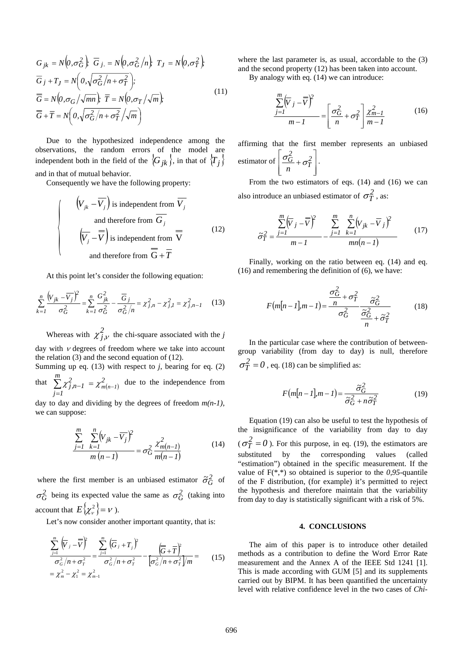$$
G_{jk} = N\left(0, \sigma_G^2\right); \overline{G}_{j.} = N\left(0, \sigma_G^2/n\right); T_J = N\left(0, \sigma_T^2\right);
$$
  
\n
$$
\overline{G}_j + T_J = N\left(0, \sqrt{\sigma_G^2/n + \sigma_T^2}\right);
$$
  
\n
$$
\overline{\overline{G}} = N\left(0, \sigma_G/\sqrt{mn}\right); \overline{T} = N\left(0, \sigma_T/\sqrt{m}\right);
$$
  
\n
$$
\overline{G} + \overline{T} = N\left(0, \sqrt{\sigma_G^2/n + \sigma_T^2}/\sqrt{m}\right)
$$
\n(11)

Due to the hypothesized independence among the observations, the random errors of the model are independent both in the field of the  $\langle G_{ik} \rangle$ , in that of  $\langle T_i \rangle$ 

and in that of mutual behavior.

Consequently we have the following property:

$$
\begin{cases}\n\left(V_{jk} - \overline{V_j}\right) \text{ is independent from } \overline{V_j} \\
\text{and therefore from } \overline{G_j} \\
\overline{\left(V_j - \overline{V}\right)} \text{ is independent from } \overline{V} \\
\text{and therefore from } \overline{\overline{G}} + \overline{T}\n\end{cases} (12)
$$

At this point let's consider the following equation:

$$
\sum_{k=1}^{n} \frac{(V_{jk} - \overline{V_j})^2}{\sigma_G^2} = \sum_{k=1}^{n} \frac{G_{jk}^2}{\sigma_G^2} - \frac{\overline{G}_j}{\sigma_G^2/n} = \chi_{j,n}^2 - \chi_{j,l}^2 = \chi_{j,n-l}^2 \tag{13}
$$

Whereas with  $\chi^2_{j,\nu}$  the chi-square associated with the *j* 

day with  $\nu$  degrees of freedom where we take into account the relation (3) and the second equation of (12). Summing up eq.  $(13)$  with respect to *j*, bearing for eq.  $(2)$ 

that  $\sum_{i=1}^{m} \chi_{j,n-1}^{2} = \chi_{m(n-1)}^{2}$  due to the independence from *1j*  $\sum_{i=1}^{m} \chi_{j,n-1}^{2} = \chi_{m(n-1)}^{2}$ =  $\chi_{j,n-1}^{-} = \chi_{m(n-1)}^{-}$ 

day to day and dividing by the degrees of freedom *m(n-1)*, we can suppose:

$$
\frac{\sum_{j=1}^{m} \sum_{k=1}^{n} (V_{jk} - \overline{V_j})^2}{m(n-1)} = \sigma_G^2 \frac{\chi_{m(n-1)}^2}{m(n-1)}
$$
(14)

where the first member is an unbiased estimator  $\tilde{\sigma}_G^2$  of  $\sigma_G^2$  being its expected value the same as  $\sigma_G^2$  (taking into account that  $E\{\chi^2_\nu\} = \nu$ ).

Let's now consider another important quantity, that is:

$$
\frac{\sum_{j=1}^{m} (\overline{V}_{j} - \overline{V})^{2}}{\sigma_{G}^{2} / n + \sigma_{T}^{2}} = \frac{\sum_{j=1}^{m} (\overline{G}_{j} + T_{j})^{2}}{\sigma_{G}^{2} / n + \sigma_{T}^{2}} - \frac{(\overline{G} + \overline{T})^{2}}{(\sigma_{G}^{2} / n + \sigma_{T}^{2}) / m} = \chi_{m}^{2} - \chi_{1}^{2} = \chi_{m-1}^{2}
$$
\n(15)

where the last parameter is, as usual, accordable to the (3) and the second property (12) has been taken into account.

By analogy with eq. (14) we can introduce:

$$
\frac{\sum_{j=1}^{m} (\overline{V}_j - \overline{V})^2}{m - 1} = \left[ \frac{\sigma_G^2}{n} + \sigma_T^2 \right] \frac{\chi_{m-1}^2}{m - 1}
$$
(16)

affirming that the first member represents an unbiased estimator of  $\overline{\phantom{a}}$  $\overline{\phantom{a}}$  $\overline{\phantom{a}}$  $\overline{\phantom{a}}$  $\mathsf I$  $\mathsf I$ ⎣  $\frac{\sigma_G^2}{T} + \sigma_T^2$ *2 G*  $\frac{\sigma_{\rm G}}{n}$  +  $\sigma_{\rm T}^2$  |  $\cdot$ 

From the two estimators of eqs. (14) and (16) we can also introduce an unbiased estimator of  $\sigma_T^2$ , as:

$$
\tilde{\sigma}_T^2 = \frac{\sum\limits_{j=1}^m \left(\overline{V}_j - \overline{\overline{V}}\right)^2}{m - 1} - \frac{\sum\limits_{j=1}^m \sum\limits_{k=1}^n \left(V_{jk} - \overline{V}_j\right)^2}{mn(n - 1)}
$$
(17)

Finally, working on the ratio between eq. (14) and eq. (16) and remembering the definition of (6), we have:

$$
F(m[n-1], m-1) = \frac{\sigma_G^2}{n} + \sigma_T^2 \frac{\tilde{\sigma}_G^2}{n}
$$
 (18)

In the particular case where the contribution of betweengroup variability (from day to day) is null, therefore  $\sigma_T^2 = 0$ , eq. (18) can be simplified as:

$$
F(m[n-1], m-1) = \frac{\tilde{\sigma}_G^2}{\tilde{\sigma}_G^2 + n\tilde{\sigma}_T^2}
$$
(19)

Equation (19) can also be useful to test the hypothesis of the insignificance of the variability from day to day  $(\sigma_T^2 = 0)$ . For this purpose, in eq. (19), the estimators are substituted by the corresponding values (called "estimation") obtained in the specific measurement. If the value of F(\*,\*) so obtained is superior to the *0,95-*quantile of the F distribution, (for example) it's permitted to reject the hypothesis and therefore maintain that the variability from day to day is statistically significant with a risk of 5%.

#### **4. CONCLUSIONS**

The aim of this paper is to introduce other detailed methods as a contribution to define the Word Error Rate measurement and the Annex A of the IEEE Std 1241 [1]. This is made according with GUM [5] and its supplements carried out by BIPM. It has been quantified the uncertainty level with relative confidence level in the two cases of *Chi-*